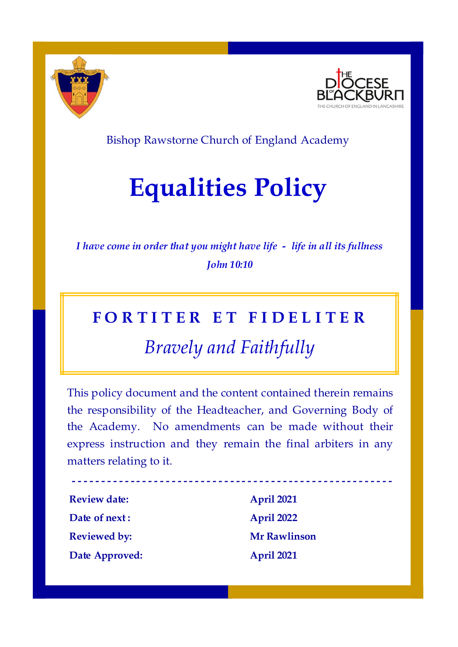



Bishop Rawstorne Church of England Academy

# **Equalities Policy**

*I have come in order that you might have life - life in all its fullness John 10:10*

### **F O R T I T E R E T F I D E L I T E R**

## *Bravely and Faithfully*

This policy document and the content contained therein remains the responsibility of the Headteacher, and Governing Body of the Academy. No amendments can be made without their express instruction and they remain the final arbiters in any matters relating to it.

**- - - - - - - - - - - - - - - - - - - - - - - - - - - - - - - - - - - - - - - - - - - - - - - - - - - - - -**

**Review date: April 2021 Date of next: April 2022 Reviewed by: Mr Rawlinson Date Approved: April 2021**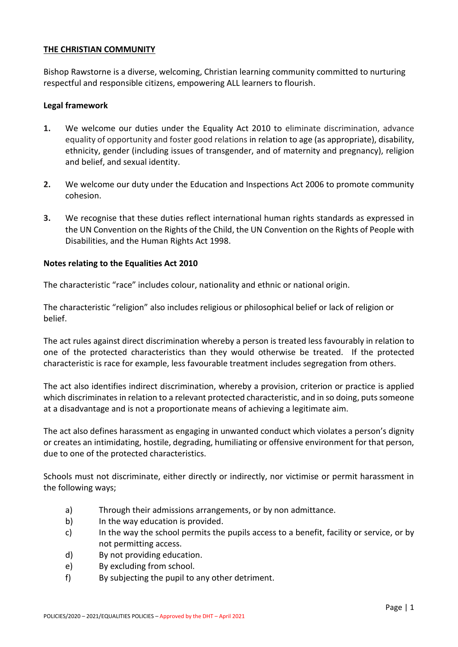#### **THE CHRISTIAN COMMUNITY**

Bishop Rawstorne is a diverse, welcoming, Christian learning community committed to nurturing respectful and responsible citizens, empowering ALL learners to flourish.

#### **Legal framework**

- **1.** We welcome our duties under the Equality Act 2010 to eliminate discrimination, advance equality of opportunity and foster good relations in relation to age (as appropriate), disability, ethnicity, gender (including issues of transgender, and of maternity and pregnancy), religion and belief, and sexual identity.
- **2.** We welcome our duty under the Education and Inspections Act 2006 to promote community cohesion.
- **3.** We recognise that these duties reflect international human rights standards as expressed in the UN Convention on the Rights of the Child, the UN Convention on the Rights of People with Disabilities, and the Human Rights Act 1998.

#### **Notes relating to the Equalities Act 2010**

The characteristic "race" includes colour, nationality and ethnic or national origin.

The characteristic "religion" also includes religious or philosophical belief or lack of religion or belief.

The act rules against direct discrimination whereby a person is treated less favourably in relation to one of the protected characteristics than they would otherwise be treated. If the protected characteristic is race for example, less favourable treatment includes segregation from others.

The act also identifies indirect discrimination, whereby a provision, criterion or practice is applied which discriminates in relation to a relevant protected characteristic, and in so doing, puts someone at a disadvantage and is not a proportionate means of achieving a legitimate aim.

The act also defines harassment as engaging in unwanted conduct which violates a person's dignity or creates an intimidating, hostile, degrading, humiliating or offensive environment for that person, due to one of the protected characteristics.

Schools must not discriminate, either directly or indirectly, nor victimise or permit harassment in the following ways;

- a) Through their admissions arrangements, or by non admittance.
- b) In the way education is provided.
- c) In the way the school permits the pupils access to a benefit, facility or service, or by not permitting access.
- d) By not providing education.
- e) By excluding from school.
- f) By subjecting the pupil to any other detriment.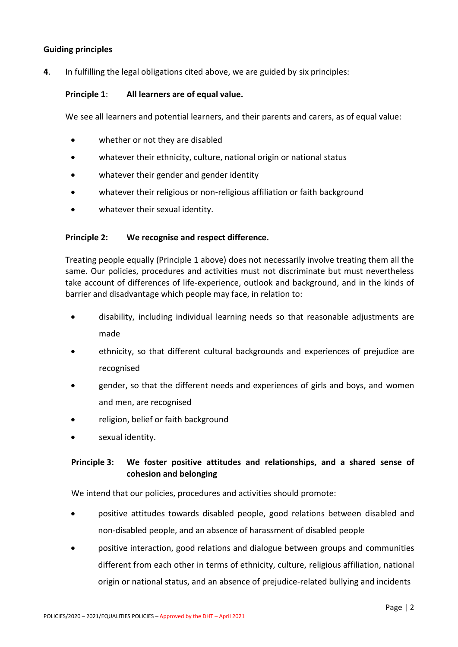#### **Guiding principles**

**4**. In fulfilling the legal obligations cited above, we are guided by six principles:

#### **Principle 1**: **All learners are of equal value.**

We see all learners and potential learners, and their parents and carers, as of equal value:

- whether or not they are disabled
- whatever their ethnicity, culture, national origin or national status
- whatever their gender and gender identity
- whatever their religious or non-religious affiliation or faith background
- whatever their sexual identity.

#### **Principle 2: We recognise and respect difference.**

Treating people equally (Principle 1 above) does not necessarily involve treating them all the same. Our policies, procedures and activities must not discriminate but must nevertheless take account of differences of life-experience, outlook and background, and in the kinds of barrier and disadvantage which people may face, in relation to:

- disability, including individual learning needs so that reasonable adjustments are made
- ethnicity, so that different cultural backgrounds and experiences of prejudice are recognised
- gender, so that the different needs and experiences of girls and boys, and women and men, are recognised
- religion, belief or faith background
- sexual identity.

#### **Principle 3: We foster positive attitudes and relationships, and a shared sense of cohesion and belonging**

We intend that our policies, procedures and activities should promote:

- positive attitudes towards disabled people, good relations between disabled and non-disabled people, and an absence of harassment of disabled people
- positive interaction, good relations and dialogue between groups and communities different from each other in terms of ethnicity, culture, religious affiliation, national origin or national status, and an absence of prejudice-related bullying and incidents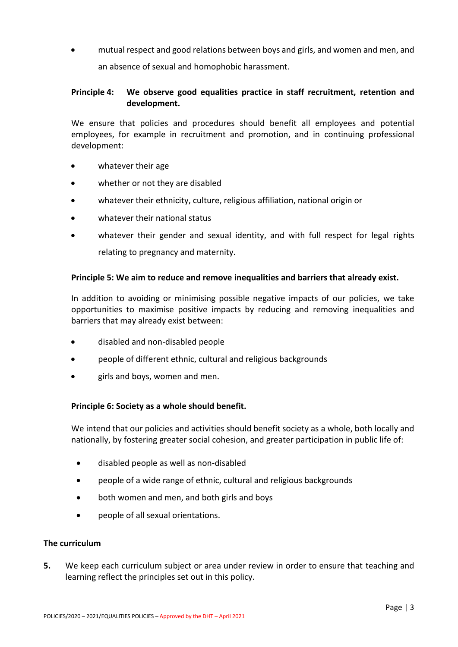• mutual respect and good relations between boys and girls, and women and men, and an absence of sexual and homophobic harassment.

#### **Principle 4: We observe good equalities practice in staff recruitment, retention and development.**

We ensure that policies and procedures should benefit all employees and potential employees, for example in recruitment and promotion, and in continuing professional development:

- whatever their age
- whether or not they are disabled
- whatever their ethnicity, culture, religious affiliation, national origin or
- whatever their national status
- whatever their gender and sexual identity, and with full respect for legal rights relating to pregnancy and maternity.

#### **Principle 5: We aim to reduce and remove inequalities and barriers that already exist.**

In addition to avoiding or minimising possible negative impacts of our policies, we take opportunities to maximise positive impacts by reducing and removing inequalities and barriers that may already exist between:

- disabled and non-disabled people
- people of different ethnic, cultural and religious backgrounds
- girls and boys, women and men.

#### **Principle 6: Society as a whole should benefit.**

We intend that our policies and activities should benefit society as a whole, both locally and nationally, by fostering greater social cohesion, and greater participation in public life of:

- disabled people as well as non-disabled
- people of a wide range of ethnic, cultural and religious backgrounds
- both women and men, and both girls and boys
- people of all sexual orientations.

#### **The curriculum**

**5.** We keep each curriculum subject or area under review in order to ensure that teaching and learning reflect the principles set out in this policy.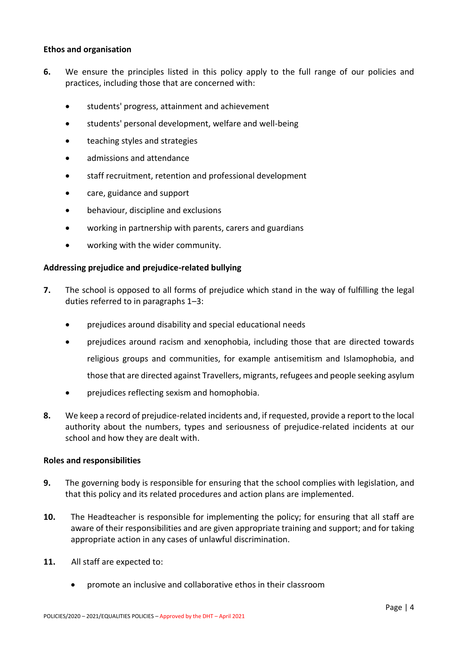#### **Ethos and organisation**

- **6.** We ensure the principles listed in this policy apply to the full range of our policies and practices, including those that are concerned with:
	- students' progress, attainment and achievement
	- students' personal development, welfare and well-being
	- teaching styles and strategies
	- admissions and attendance
	- staff recruitment, retention and professional development
	- care, guidance and support
	- behaviour, discipline and exclusions
	- working in partnership with parents, carers and guardians
	- working with the wider community.

#### **Addressing prejudice and prejudice-related bullying**

- **7.** The school is opposed to all forms of prejudice which stand in the way of fulfilling the legal duties referred to in paragraphs 1–3:
	- prejudices around disability and special educational needs
	- prejudices around racism and xenophobia, including those that are directed towards religious groups and communities, for example antisemitism and Islamophobia, and those that are directed against Travellers, migrants, refugees and people seeking asylum
	- prejudices reflecting sexism and homophobia.
- **8.** We keep a record of prejudice-related incidents and, if requested, provide a report to the local authority about the numbers, types and seriousness of prejudice-related incidents at our school and how they are dealt with.

#### **Roles and responsibilities**

- **9.** The governing body is responsible for ensuring that the school complies with legislation, and that this policy and its related procedures and action plans are implemented.
- **10.** The Headteacher is responsible for implementing the policy; for ensuring that all staff are aware of their responsibilities and are given appropriate training and support; and for taking appropriate action in any cases of unlawful discrimination.
- **11.** All staff are expected to:
	- promote an inclusive and collaborative ethos in their classroom